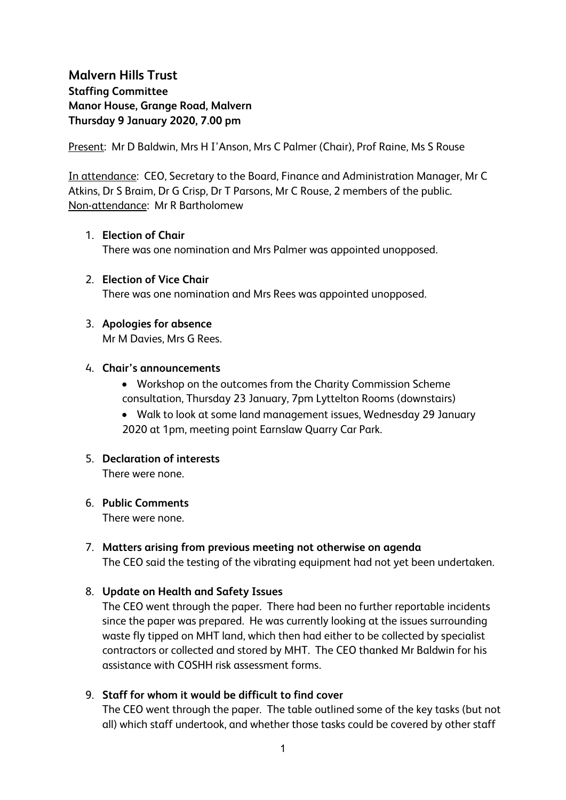# **Malvern Hills Trust Staffing Committee Manor House, Grange Road, Malvern Thursday 9 January 2020, 7.00 pm**

Present: Mr D Baldwin, Mrs H I'Anson, Mrs C Palmer (Chair), Prof Raine, Ms S Rouse

In attendance: CEO, Secretary to the Board, Finance and Administration Manager, Mr C Atkins, Dr S Braim, Dr G Crisp, Dr T Parsons, Mr C Rouse, 2 members of the public. Non-attendance: Mr R Bartholomew

#### 1. **Election of Chair**

There was one nomination and Mrs Palmer was appointed unopposed.

2. **Election of Vice Chair** There was one nomination and Mrs Rees was appointed unopposed.

## 3. **Apologies for absence**

Mr M Davies, Mrs G Rees.

#### 4. **Chair's announcements**

- Workshop on the outcomes from the Charity Commission Scheme consultation, Thursday 23 January, 7pm Lyttelton Rooms (downstairs)
- Walk to look at some land management issues, Wednesday 29 January 2020 at 1pm, meeting point Earnslaw Quarry Car Park.

## 5. **Declaration of interests**

There were none.

#### 6. **Public Comments**

There were none.

7. **Matters arising from previous meeting not otherwise on agenda** The CEO said the testing of the vibrating equipment had not yet been undertaken.

## 8. **Update on Health and Safety Issues**

The CEO went through the paper. There had been no further reportable incidents since the paper was prepared. He was currently looking at the issues surrounding waste fly tipped on MHT land, which then had either to be collected by specialist contractors or collected and stored by MHT. The CEO thanked Mr Baldwin for his assistance with COSHH risk assessment forms.

## 9. **Staff for whom it would be difficult to find cover**

The CEO went through the paper. The table outlined some of the key tasks (but not all) which staff undertook, and whether those tasks could be covered by other staff